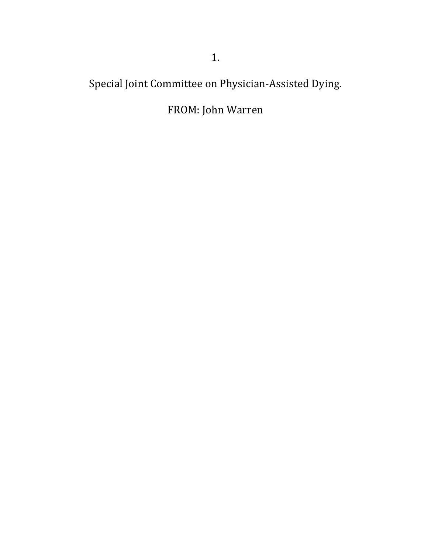Special Joint Committee on Physician-Assisted Dying.

# FROM: John Warren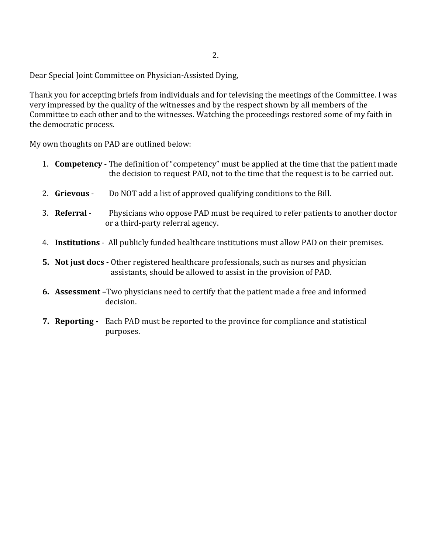Dear Special Joint Committee on Physician-Assisted Dying,

Thank you for accepting briefs from individuals and for televising the meetings of the Committee. I was very impressed by the quality of the witnesses and by the respect shown by all members of the Committee to each other and to the witnesses. Watching the proceedings restored some of my faith in the democratic process.

My own thoughts on PAD are outlined below:

- 1. **Competency** The definition of "competency" must be applied at the time that the patient made the decision to request PAD, not to the time that the request is to be carried out.
- 2. **Grievous** Do NOT add a list of approved qualifying conditions to the Bill.
- 3. **Referral** Physicians who oppose PAD must be required to refer patients to another doctor or a third-party referral agency.
- 4. **Institutions**  All publicly funded healthcare institutions must allow PAD on their premises.
- **5. Not just docs -** Other registered healthcare professionals, such as nurses and physician assistants, should be allowed to assist in the provision of PAD.
- **6. Assessment –**Two physicians need to certify that the patient made a free and informed decision.
- **7. Reporting** Each PAD must be reported to the province for compliance and statistical purposes.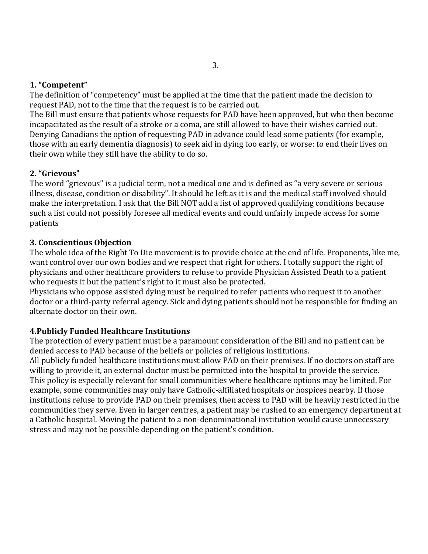### **1. "Competent"**

The definition of "competency" must be applied at the time that the patient made the decision to request PAD, not to the time that the request is to be carried out.

The Bill must ensure that patients whose requests for PAD have been approved, but who then become incapacitated as the result of a stroke or a coma, are still allowed to have their wishes carried out. Denying Canadians the option of requesting PAD in advance could lead some patients (for example, those with an early dementia diagnosis) to seek aid in dying too early, or worse: to end their lives on their own while they still have the ability to do so.

#### **2. "Grievous"**

The word "grievous" is a judicial term, not a medical one and is defined as "a very severe or serious illness, disease, condition or disability". It should be left as it is and the medical staff involved should make the interpretation. I ask that the Bill NOT add a list of approved qualifying conditions because such a list could not possibly foresee all medical events and could unfairly impede access for some patients

#### **3. Conscientious Objection**

The whole idea of the Right To Die movement is to provide choice at the end of life. Proponents, like me, want control over our own bodies and we respect that right for others. I totally support the right of physicians and other healthcare providers to refuse to provide Physician Assisted Death to a patient who requests it but the patient's right to it must also be protected.

Physicians who oppose assisted dying must be required to refer patients who request it to another doctor or a third-party referral agency. Sick and dying patients should not be responsible for finding an alternate doctor on their own.

## **4.Publicly Funded Healthcare Institutions**

The protection of every patient must be a paramount consideration of the Bill and no patient can be denied access to PAD because of the beliefs or policies of religious institutions.

All publicly funded healthcare institutions must allow PAD on their premises. If no doctors on staff are willing to provide it, an external doctor must be permitted into the hospital to provide the service. This policy is especially relevant for small communities where healthcare options may be limited. For example, some communities may only have Catholic-affiliated hospitals or hospices nearby. If those institutions refuse to provide PAD on their premises, then access to PAD will be heavily restricted in the communities they serve. Even in larger centres, a patient may be rushed to an emergency department at a Catholic hospital. Moving the patient to a non-denominational institution would cause unnecessary stress and may not be possible depending on the patient's condition.